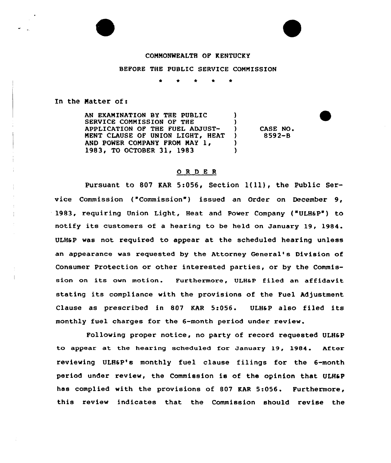## COMMONWEALTH OF KENTUCKY

## BEFORE THE PUBLIC SERVICE COMMISSION

In the Matter of:

AN EXAMINATION BY THE PUBLIC  $\qquad$ SERVICE COMMISSION OF THE  $)$ <br>APPLICATION OF THE FUEL ADJUST-APPLICATION OF THE FUEL ADJUST-CASE NO. MENT CLAUSE OF UNION LIGHT, HEAT 8592-B  $\mathcal{L}$ AND POWER COMPANY FROM MAY 1, (2008)<br>1983, TO OCTOBER 31, 1983 1983, TO OCTOBER 31, 1983

## 0 <sup>R</sup> <sup>D</sup> E R

Pursuant to <sup>807</sup> KAR 5:056, Section l(ll), the Public Service Commission ("Commission") issued an Order on December 9, 1983, requiring Union Light, Heat and Power Company ('ULHSP") to notify its customers of a hearing to be held on January 19, 1984. ULH6P was not required to appear at the scheduled hearing unless an appearance was requested by the Attorney General's Division of Consumer Protection or other interested parties, or by the Commission on its own motion. Furthermore, ULH&P filed an affidavit stating its compliance with the provisions of the Fuel Adjustment Clause as prescribed in 807 KAR 5:056. ULH&P also filed its monthly fuel charges for the 6-month period under review.

Following proper notice, no party of record requested ULH6P to appear at the hearing scheduled fox January 19, 1984. Aftex reviewing ULHaP's monthly fuel clause filings for the 6-month period under review, the Commission is of the opinion that ULHSP has complied with the provisions of 807 KAR 5:056. Furthermore, this review indicates that the Commission should revise the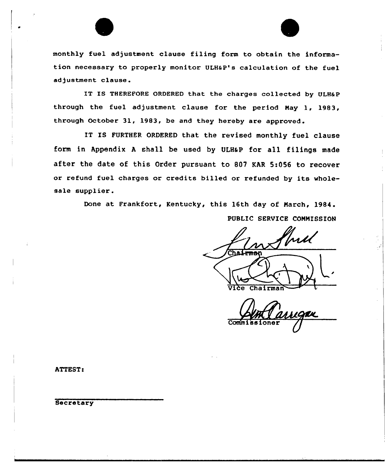

monthly fuel adjustment clause filing form to obtain the information necessary to properly monitor ULHaP's calculation of the fuel adjustment clause .

IT IS THEREFORE ORDERED that the charges collected by ULHaP through the fuel adjustment clause for the period Nay 1, 1983, through October 31, 1983, be and they hereby are approved.

IT IS FURTHER ORDERED that the revised monthly fuel clause form in Appendix A shall be used by ULH&P for all filings made after the date of this Order pursuant to 807 KAR 5:056 to recover or refund fuel charges or credits billed or refunded by its wholesale supplier.

Done at Frankfort, Kentucky, this 16th day of Narch, 1984. PUBLIC SERVICE COMMISSION

 $\overline{v}$ ice Chairman

Commissione

ATTEST:

**Secretary**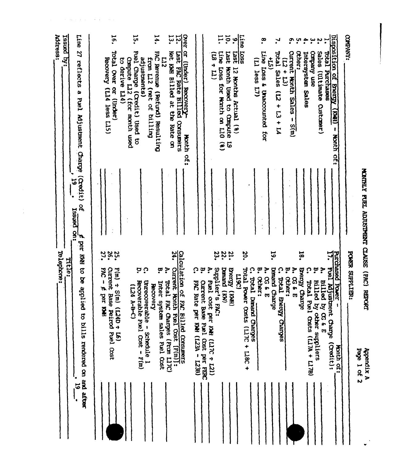| Address:<br>relephone: | tsaued by:<br>Title: | Line 27 reflects a<br>Fuel Mjustment Charge (Credit)<br>$\mathbf{5}$<br>o<br>A<br>saued on:<br>æ,<br>per KWH to be | $\overline{5}$<br>Total Over or (Under)<br>Recovery (L14 less L15)<br>328.<br><b>PAC-</b>                                             | ដុ<br><b>Puel</b> Charge<br>el Charge (Credit) Used to<br>Compute L12 (for month used<br>to derive L14) | adjustments)<br>from L12 (net of billing<br>ن ن                        | ۳,<br>سا<br>پ<br>Not KWH Billed at the<br><b>FAC Revenue</b><br>L12<br>Corumal Resulting<br>Rate on<br>٦<br>္ | Over or (Under) Recovery-<br><b>12.</b><br>Last FAC Rate Billed Consumers<br>Honth<br><u>្ណុះ</u><br>$\mathbf{z}$ | ့<br>့ဗ                                                           | ន<br>•<br>$\overline{H}$<br>$\ddot{\cdot}$ | <u>ri</u><br>Line<br>Loss for Month on L10<br>$\widehat{\mathbf{e}}$<br>33.2 | ō.<br>1357<br>1987<br>Nonth Used to Compute<br>6 | $rac{1}{\sqrt{100}}$<br><b>SSOT</b><br>12 Months Actual (8)<br>20. | (L) less L7)<br>$\boldsymbol{\Omega}$ | $\cdot^{\infty}$<br>Line Loss &<br>Unaccounted for<br>ë<br>ŗ | ب,<br><b>Lead</b><br>$\ddot{5}$<br>Sales<br>$\widehat{\vec{a}}$<br>$113 + 14$<br>19. | $+ 77$<br>E)<br>့ဗ<br><u>ှ</u> | $\tilde{\mathbf{c}}$<br>cther:<br>Current<br>Honth Sales -<br>$\frac{3}{2}$<br>ŗ, | $\ddot{a}$ is<br><b>Intersystem Sales</b><br>18. | ۑ<br>asn Aueduco<br>ၞ<br>့ဗ                                          | ့ပ<br>$\mathbf{r}$<br><b>Leaor</b><br>sales (Ultimate<br>Purchases<br>Custamer)<br>ŗ, | Disposition of Brery<br>(BM)<br>- Month of:<br>55.                               | <b>COMPANY:</b><br><b>POWER SUPPLIER:</b> |             |
|------------------------|----------------------|--------------------------------------------------------------------------------------------------------------------|---------------------------------------------------------------------------------------------------------------------------------------|---------------------------------------------------------------------------------------------------------|------------------------------------------------------------------------|---------------------------------------------------------------------------------------------------------------|-------------------------------------------------------------------------------------------------------------------|-------------------------------------------------------------------|--------------------------------------------|------------------------------------------------------------------------------|--------------------------------------------------|--------------------------------------------------------------------|---------------------------------------|--------------------------------------------------------------|--------------------------------------------------------------------------------------|--------------------------------|-----------------------------------------------------------------------------------|--------------------------------------------------|----------------------------------------------------------------------|---------------------------------------------------------------------------------------|----------------------------------------------------------------------------------|-------------------------------------------|-------------|
|                        |                      | applied to bills rendered on and after<br>٠<br>$\overline{5}$                                                      | Current<br>$F(m) \div S(m)$<br>$\boldsymbol{\kappa}$<br>Base<br><b>Ref</b><br>Ž<br>$\div$ ObZT)<br>Peirod Puel Cost<br>$\overline{a}$ | (D-8-Y 6-7)                                                                                             | Recoverable Fuel Cost - F(m)<br>Unrecoverable - Schedule 1<br>Kecovery | Total FAC Charges (From L17C)<br>Inter system sales Fuel Cost                                                 | Calculation of FAC Billed Consumers<br>Current Month<br>Fuel Cost [F(m)]:                                         | Current Base Fuel Cost per FERC<br>FAC Rate per KWH (L23A - L23B) | Fuel cost per KWH<br>$(127 - 21)$          | Supplier's<br><b>Denand</b><br>(M)<br>EAC:                                   | <b>AGJ</b> aug<br>(HWX)                          | Tower Lead<br>(3617)<br>$\cos$ ts (Ll7C + Ll8C +                   | Teren<br>Denand Charges               | ရွှ<br>န<br>ocher:<br>$\overline{\mathbf{u}}$                | Denand Charge                                                                        | Total Bretgy Charges<br>ocher: | က္က<br>န<br>$\overline{\mathbf{u}}$                                               | Brengy Charge                                    | Total Frel Osts (LI'A + LI'B)<br><b>Billed</b><br>by other suppliers | <b>Billed</b><br>by CG & E                                                            | Purchased Power -<br>17. Fuel Adjustment Charge<br>(Credit):<br><b>Honth of:</b> |                                           | Page 1 of 2 |

 $\mathcal{L}_{\mathcal{A}}$  , and the set of the set of the set of the set of  $\mathcal{A}$ 

 $\frac{1}{4}$